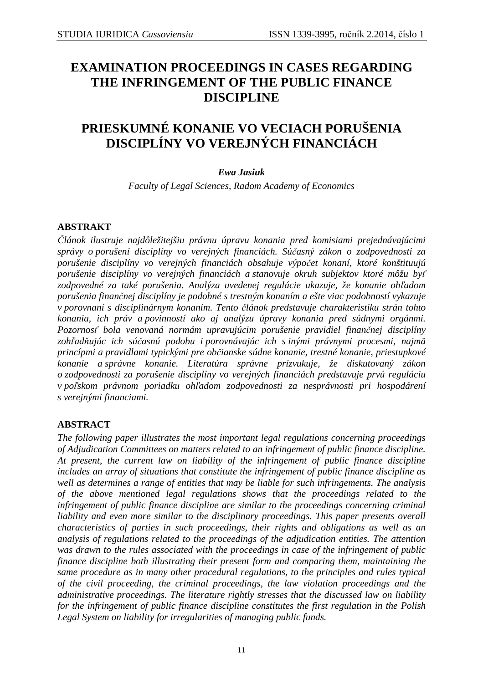# **EXAMINATION PROCEEDINGS IN CASES REGARDING THE INFRINGEMENT OF THE PUBLIC FINANCE DISCIPLINE**

# **PRIESKUMNÉ KONANIE VO VECIACH PORUŠENIA DISCIPLÍNY VO VEREJNÝCH FINANCIÁCH**

## *Ewa Jasiuk*

*Faculty of Legal Sciences, Radom Academy of Economics* 

## **ABSTRAKT**

*Článok ilustruje najdôležitejšiu právnu úpravu konania pred komisiami prejednávajúcimi správy o porušení disciplíny vo verejných financiách. Súčasný zákon o zodpovednosti za porušenie disciplíny vo verejných financiách obsahuje výpočet konaní, ktoré konštituujú porušenie disciplíny vo verejných financiách a stanovuje okruh subjektov ktoré môžu byť zodpovedné za také porušenia. Analýza uvedenej regulácie ukazuje, že konanie ohľadom porušenia finančnej disciplíny je podobné s trestným konaním a ešte viac podobností vykazuje v porovnaní s disciplinárnym konaním. Tento článok predstavuje charakteristiku strán tohto konania, ich práv a povinností ako aj analýzu úpravy konania pred súdnymi orgánmi. Pozornosť bola venovaná normám upravujúcim porušenie pravidiel finančnej disciplíny zohľadňujúc ich súčasnú podobu i porovnávajúc ich s inými právnymi procesmi, najmä princípmi a pravidlami typickými pre občianske súdne konanie, trestné konanie, priestupkové konanie a správne konanie. Literatúra správne prízvukuje, že diskutovaný zákon o zodpovednosti za porušenie disciplíny vo verejných financiách predstavuje prvú reguláciu v poľskom právnom poriadku ohľadom zodpovednosti za nesprávnosti pri hospodárení s verejnými financiami.* 

# **ABSTRACT**

*The following paper illustrates the most important legal regulations concerning proceedings of Adjudication Committees on matters related to an infringement of public finance discipline. At present, the current law on liability of the infringement of public finance discipline includes an array of situations that constitute the infringement of public finance discipline as well as determines a range of entities that may be liable for such infringements. The analysis of the above mentioned legal regulations shows that the proceedings related to the infringement of public finance discipline are similar to the proceedings concerning criminal liability and even more similar to the disciplinary proceedings. This paper presents overall characteristics of parties in such proceedings, their rights and obligations as well as an analysis of regulations related to the proceedings of the adjudication entities. The attention was drawn to the rules associated with the proceedings in case of the infringement of public finance discipline both illustrating their present form and comparing them, maintaining the same procedure as in many other procedural regulations, to the principles and rules typical of the civil proceeding, the criminal proceedings, the law violation proceedings and the administrative proceedings. The literature rightly stresses that the discussed law on liability for the infringement of public finance discipline constitutes the first regulation in the Polish Legal System on liability for irregularities of managing public funds.*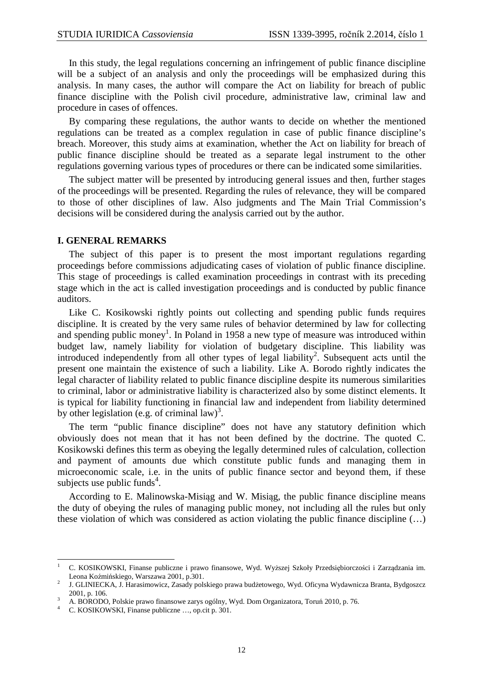In this study, the legal regulations concerning an infringement of public finance discipline will be a subject of an analysis and only the proceedings will be emphasized during this analysis. In many cases, the author will compare the Act on liability for breach of public finance discipline with the Polish civil procedure, administrative law, criminal law and procedure in cases of offences.

By comparing these regulations, the author wants to decide on whether the mentioned regulations can be treated as a complex regulation in case of public finance discipline's breach. Moreover, this study aims at examination, whether the Act on liability for breach of public finance discipline should be treated as a separate legal instrument to the other regulations governing various types of procedures or there can be indicated some similarities.

The subject matter will be presented by introducing general issues and then, further stages of the proceedings will be presented. Regarding the rules of relevance, they will be compared to those of other disciplines of law. Also judgments and The Main Trial Commission's decisions will be considered during the analysis carried out by the author.

#### **I. GENERAL REMARKS**

The subject of this paper is to present the most important regulations regarding proceedings before commissions adjudicating cases of violation of public finance discipline. This stage of proceedings is called examination proceedings in contrast with its preceding stage which in the act is called investigation proceedings and is conducted by public finance auditors.

 Like C. Kosikowski rightly points out collecting and spending public funds requires discipline. It is created by the very same rules of behavior determined by law for collecting and spending public money<sup>1</sup>. In Poland in 1958 a new type of measure was introduced within budget law, namely liability for violation of budgetary discipline. This liability was introduced independently from all other types of legal liability<sup>2</sup>. Subsequent acts until the present one maintain the existence of such a liability. Like A. Borodo rightly indicates the legal character of liability related to public finance discipline despite its numerous similarities to criminal, labor or administrative liability is characterized also by some distinct elements. It is typical for liability functioning in financial law and independent from liability determined by other legislation (e.g. of criminal law)<sup>3</sup>.

 The term "public finance discipline" does not have any statutory definition which obviously does not mean that it has not been defined by the doctrine. The quoted C. Kosikowski defines this term as obeying the legally determined rules of calculation, collection and payment of amounts due which constitute public funds and managing them in microeconomic scale, i.e. in the units of public finance sector and beyond them, if these subjects use public funds<sup>4</sup>.

 According to E. Malinowska-Misiąg and W. Misiąg, the public finance discipline means the duty of obeying the rules of managing public money, not including all the rules but only these violation of which was considered as action violating the public finance discipline (…)

 $\frac{1}{1}$  C. KOSIKOWSKI, Finanse publiczne i prawo finansowe, Wyd. Wyższej Szkoły Przedsiębiorczości i Zarządzania im. Leona Koźmińskiego, Warszawa 2001, p.301.

<sup>2</sup> J. GLINIECKA, J. Harasimowicz, Zasady polskiego prawa budżetowego, Wyd. Oficyna Wydawnicza Branta, Bydgoszcz 2001, p. 106. 3

A. BORODO, Polskie prawo finansowe zarys ogólny, Wyd. Dom Organizatora, Toruń 2010, p. 76.

<sup>4</sup> C. KOSIKOWSKI, Finanse publiczne …, op.cit p. 301.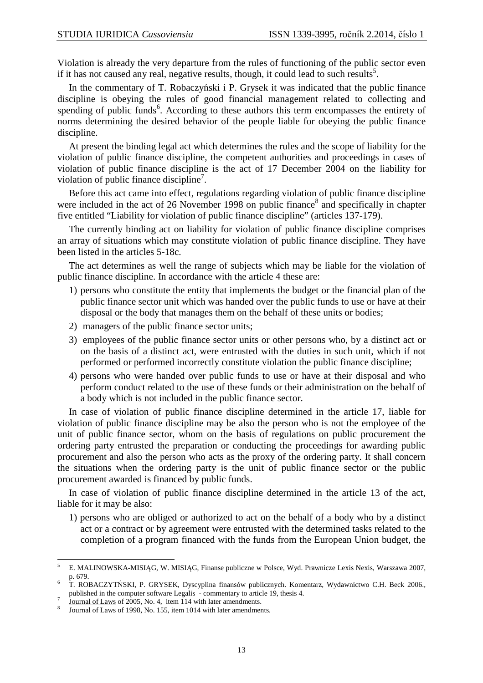Violation is already the very departure from the rules of functioning of the public sector even if it has not caused any real, negative results, though, it could lead to such results<sup>5</sup>.

 In the commentary of T. Robaczyński i P. Grysek it was indicated that the public finance discipline is obeying the rules of good financial management related to collecting and spending of public funds<sup>6</sup>. According to these authors this term encompasses the entirety of norms determining the desired behavior of the people liable for obeying the public finance discipline.

 At present the binding legal act which determines the rules and the scope of liability for the violation of public finance discipline, the competent authorities and proceedings in cases of violation of public finance discipline is the act of 17 December 2004 on the liability for violation of public finance discipline<sup>7</sup>.

 Before this act came into effect, regulations regarding violation of public finance discipline were included in the act of 26 November 1998 on public finance<sup>8</sup> and specifically in chapter five entitled "Liability for violation of public finance discipline" (articles 137-179).

 The currently binding act on liability for violation of public finance discipline comprises an array of situations which may constitute violation of public finance discipline. They have been listed in the articles 5-18c.

 The act determines as well the range of subjects which may be liable for the violation of public finance discipline. In accordance with the article 4 these are:

- 1) persons who constitute the entity that implements the budget or the financial plan of the public finance sector unit which was handed over the public funds to use or have at their disposal or the body that manages them on the behalf of these units or bodies;
- 2) managers of the public finance sector units;
- 3) employees of the public finance sector units or other persons who, by a distinct act or on the basis of a distinct act, were entrusted with the duties in such unit, which if not performed or performed incorrectly constitute violation the public finance discipline;
- 4) persons who were handed over public funds to use or have at their disposal and who perform conduct related to the use of these funds or their administration on the behalf of a body which is not included in the public finance sector.

 In case of violation of public finance discipline determined in the article 17, liable for violation of public finance discipline may be also the person who is not the employee of the unit of public finance sector, whom on the basis of regulations on public procurement the ordering party entrusted the preparation or conducting the proceedings for awarding public procurement and also the person who acts as the proxy of the ordering party. It shall concern the situations when the ordering party is the unit of public finance sector or the public procurement awarded is financed by public funds.

 In case of violation of public finance discipline determined in the article 13 of the act, liable for it may be also:

1) persons who are obliged or authorized to act on the behalf of a body who by a distinct act or a contract or by agreement were entrusted with the determined tasks related to the completion of a program financed with the funds from the European Union budget, the

 5 E. MALINOWSKA-MISIĄG, W. MISIĄG, Finanse publiczne w Polsce, Wyd. Prawnicze Lexis Nexis, Warszawa 2007, p. 679.

<sup>6</sup> T. ROBACZYTŃSKI, P. GRYSEK, Dyscyplina finansów publicznych. Komentarz, Wydawnictwo C.H. Beck 2006., published in the computer software Legalis - commentary to article 19, thesis 4.

<sup>7</sup> Journal of Laws of 2005, No. 4, item 114 with later amendments.

<sup>8</sup> Journal of Laws of 1998, No. 155, item 1014 with later amendments.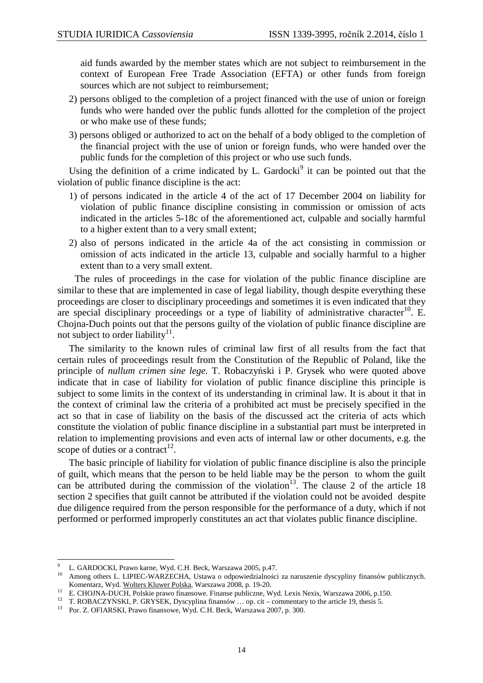aid funds awarded by the member states which are not subject to reimbursement in the context of European Free Trade Association (EFTA) or other funds from foreign sources which are not subject to reimbursement;

- 2) persons obliged to the completion of a project financed with the use of union or foreign funds who were handed over the public funds allotted for the completion of the project or who make use of these funds;
- 3) persons obliged or authorized to act on the behalf of a body obliged to the completion of the financial project with the use of union or foreign funds, who were handed over the public funds for the completion of this project or who use such funds.

Using the definition of a crime indicated by L. Gardocki<sup>9</sup> it can be pointed out that the violation of public finance discipline is the act:

- 1) of persons indicated in the article 4 of the act of 17 December 2004 on liability for violation of public finance discipline consisting in commission or omission of acts indicated in the articles 5-18c of the aforementioned act, culpable and socially harmful to a higher extent than to a very small extent;
- 2) also of persons indicated in the article 4a of the act consisting in commission or omission of acts indicated in the article 13, culpable and socially harmful to a higher extent than to a very small extent.

The rules of proceedings in the case for violation of the public finance discipline are similar to these that are implemented in case of legal liability, though despite everything these proceedings are closer to disciplinary proceedings and sometimes it is even indicated that they are special disciplinary proceedings or a type of liability of administrative character<sup>10</sup>. E. Chojna-Duch points out that the persons guilty of the violation of public finance discipline are not subject to order liability $11$ .

 The similarity to the known rules of criminal law first of all results from the fact that certain rules of proceedings result from the Constitution of the Republic of Poland, like the principle of *nullum crimen sine lege.* T. Robaczyński i P. Grysek who were quoted above indicate that in case of liability for violation of public finance discipline this principle is subject to some limits in the context of its understanding in criminal law. It is about it that in the context of criminal law the criteria of a prohibited act must be precisely specified in the act so that in case of liability on the basis of the discussed act the criteria of acts which constitute the violation of public finance discipline in a substantial part must be interpreted in relation to implementing provisions and even acts of internal law or other documents, e.g. the scope of duties or a contract<sup>12</sup>.

 The basic principle of liability for violation of public finance discipline is also the principle of guilt, which means that the person to be held liable may be the person to whom the guilt can be attributed during the commission of the violation<sup>13</sup>. The clause 2 of the article 18 section 2 specifies that guilt cannot be attributed if the violation could not be avoided despite due diligence required from the person responsible for the performance of a duty, which if not performed or performed improperly constitutes an act that violates public finance discipline.

 $\overline{a}$ 

<sup>9</sup> L. GARDOCKI, Prawo karne, Wyd. C.H. Beck, Warszawa 2005, p.47.

<sup>10</sup> Among others L. LIPIEC-WARZECHA, Ustawa o odpowiedzialności za naruszenie dyscypliny finansów publicznych. Komentarz, Wyd. Wolters Kluwer Polska, Warszawa 2008, p. 19-20.

<sup>&</sup>lt;sup>11</sup> E. CHOJNA-DUCH, Polskie prawo finansowe. Finanse publiczne, Wyd. Lexis Nexis, Warszawa 2006, p.150.

<sup>12</sup> T. ROBACZYŃSKI, P. GRYSEK, Dyscyplina finansów … op. cit – commentary to the article 19, thesis 5.

<sup>&</sup>lt;sup>13</sup> Por. Z. OFIARSKI, Prawo finansowe, Wyd. C.H. Beck, Warszawa 2007, p. 300.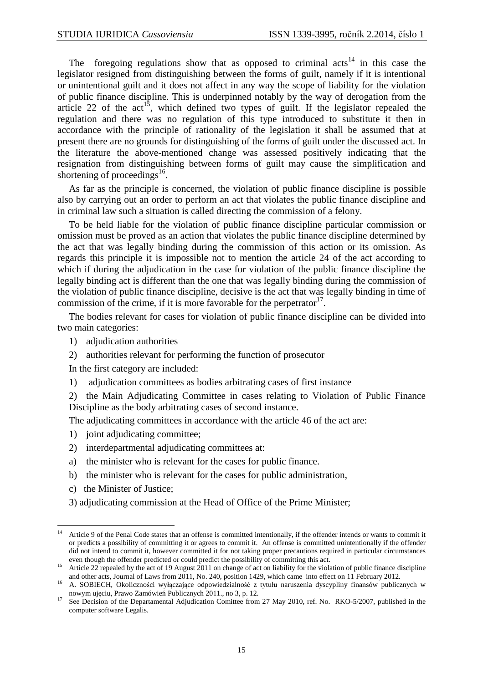The foregoing regulations show that as opposed to criminal  $\arctan(14)$  in this case the legislator resigned from distinguishing between the forms of guilt, namely if it is intentional or unintentional guilt and it does not affect in any way the scope of liability for the violation of public finance discipline. This is underpinned notably by the way of derogation from the article 22 of the  $act^{15}$ , which defined two types of guilt. If the legislator repealed the regulation and there was no regulation of this type introduced to substitute it then in accordance with the principle of rationality of the legislation it shall be assumed that at present there are no grounds for distinguishing of the forms of guilt under the discussed act. In the literature the above-mentioned change was assessed positively indicating that the resignation from distinguishing between forms of guilt may cause the simplification and shortening of proceedings $^{16}$ .

 As far as the principle is concerned, the violation of public finance discipline is possible also by carrying out an order to perform an act that violates the public finance discipline and in criminal law such a situation is called directing the commission of a felony.

 To be held liable for the violation of public finance discipline particular commission or omission must be proved as an action that violates the public finance discipline determined by the act that was legally binding during the commission of this action or its omission. As regards this principle it is impossible not to mention the article 24 of the act according to which if during the adjudication in the case for violation of the public finance discipline the legally binding act is different than the one that was legally binding during the commission of the violation of public finance discipline, decisive is the act that was legally binding in time of commission of the crime, if it is more favorable for the perpetrator  $17$ .

 The bodies relevant for cases for violation of public finance discipline can be divided into two main categories:

- 1) adjudication authorities
- 2) authorities relevant for performing the function of prosecutor

In the first category are included:

1) adjudication committees as bodies arbitrating cases of first instance

2) the Main Adjudicating Committee in cases relating to Violation of Public Finance Discipline as the body arbitrating cases of second instance.

The adjudicating committees in accordance with the article 46 of the act are:

- 1) joint adjudicating committee;
- 2) interdepartmental adjudicating committees at:
- a) the minister who is relevant for the cases for public finance.
- b) the minister who is relevant for the cases for public administration,
- c) the Minister of Justice;
- 3) adjudicating commission at the Head of Office of the Prime Minister;

 $\overline{a}$ <sup>14</sup> Article 9 of the Penal Code states that an offense is committed intentionally, if the offender intends or wants to commit it or predicts a possibility of committing it or agrees to commit it. An offense is committed unintentionally if the offender did not intend to commit it, however committed it for not taking proper precautions required in particular circumstances even though the offender predicted or could predict the possibility of committing this act.

<sup>&</sup>lt;sup>15</sup> Article 22 repealed by the act of 19 August 2011 on change of act on liability for the violation of public finance discipline and other acts, Journal of Laws from 2011, No. 240, position 1429, which came into effect on 11 February 2012.

<sup>16</sup> A. SOBIECH, Okoliczności wyłączające odpowiedzialność z tytułu naruszenia dyscypliny finansów publicznych w nowym ujęciu, Prawo Zamówień Publicznych 2011., no 3, p. 12.

<sup>&</sup>lt;sup>17</sup> See Decision of the Departamental Adjudication Comittee from 27 May 2010, ref. No. RKO-5/2007, published in the computer software Legalis.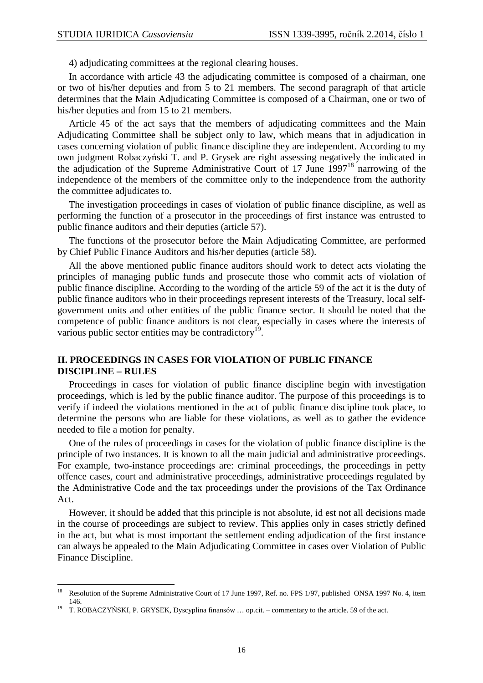4) adjudicating committees at the regional clearing houses.

 In accordance with article 43 the adjudicating committee is composed of a chairman, one or two of his/her deputies and from 5 to 21 members. The second paragraph of that article determines that the Main Adjudicating Committee is composed of a Chairman, one or two of his/her deputies and from 15 to 21 members.

 Article 45 of the act says that the members of adjudicating committees and the Main Adjudicating Committee shall be subject only to law, which means that in adjudication in cases concerning violation of public finance discipline they are independent. According to my own judgment Robaczyński T. and P. Grysek are right assessing negatively the indicated in the adjudication of the Supreme Administrative Court of 17 June  $1997<sup>18</sup>$  narrowing of the independence of the members of the committee only to the independence from the authority the committee adjudicates to.

 The investigation proceedings in cases of violation of public finance discipline, as well as performing the function of a prosecutor in the proceedings of first instance was entrusted to public finance auditors and their deputies (article 57).

 The functions of the prosecutor before the Main Adjudicating Committee, are performed by Chief Public Finance Auditors and his/her deputies (article 58).

 All the above mentioned public finance auditors should work to detect acts violating the principles of managing public funds and prosecute those who commit acts of violation of public finance discipline. According to the wording of the article 59 of the act it is the duty of public finance auditors who in their proceedings represent interests of the Treasury, local selfgovernment units and other entities of the public finance sector. It should be noted that the competence of public finance auditors is not clear, especially in cases where the interests of various public sector entities may be contradictory<sup>19</sup>.

## **II. PROCEEDINGS IN CASES FOR VIOLATION OF PUBLIC FINANCE DISCIPLINE – RULES**

 Proceedings in cases for violation of public finance discipline begin with investigation proceedings, which is led by the public finance auditor. The purpose of this proceedings is to verify if indeed the violations mentioned in the act of public finance discipline took place, to determine the persons who are liable for these violations, as well as to gather the evidence needed to file a motion for penalty.

 One of the rules of proceedings in cases for the violation of public finance discipline is the principle of two instances. It is known to all the main judicial and administrative proceedings. For example, two-instance proceedings are: criminal proceedings, the proceedings in petty offence cases, court and administrative proceedings, administrative proceedings regulated by the Administrative Code and the tax proceedings under the provisions of the Tax Ordinance Act.

 However, it should be added that this principle is not absolute, id est not all decisions made in the course of proceedings are subject to review. This applies only in cases strictly defined in the act, but what is most important the settlement ending adjudication of the first instance can always be appealed to the Main Adjudicating Committee in cases over Violation of Public Finance Discipline.

 $\overline{a}$ 

<sup>&</sup>lt;sup>18</sup> Resolution of the Supreme Administrative Court of 17 June 1997, Ref. no. FPS 1/97, published ONSA 1997 No. 4, item 146.

<sup>19</sup> T. ROBACZYŃSKI, P. GRYSEK, Dyscyplina finansów … op.cit. – commentary to the article. 59 of the act.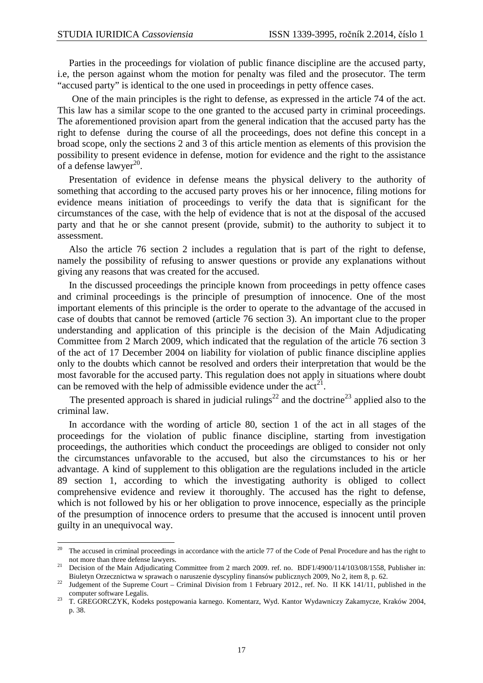Parties in the proceedings for violation of public finance discipline are the accused party, i.e, the person against whom the motion for penalty was filed and the prosecutor. The term "accused party" is identical to the one used in proceedings in petty offence cases.

 One of the main principles is the right to defense, as expressed in the article 74 of the act. This law has a similar scope to the one granted to the accused party in criminal proceedings. The aforementioned provision apart from the general indication that the accused party has the right to defense during the course of all the proceedings, does not define this concept in a broad scope, only the sections 2 and 3 of this article mention as elements of this provision the possibility to present evidence in defense, motion for evidence and the right to the assistance of a defense lawyer $^{20}$ .

 Presentation of evidence in defense means the physical delivery to the authority of something that according to the accused party proves his or her innocence, filing motions for evidence means initiation of proceedings to verify the data that is significant for the circumstances of the case, with the help of evidence that is not at the disposal of the accused party and that he or she cannot present (provide, submit) to the authority to subject it to assessment.

 Also the article 76 section 2 includes a regulation that is part of the right to defense, namely the possibility of refusing to answer questions or provide any explanations without giving any reasons that was created for the accused.

 In the discussed proceedings the principle known from proceedings in petty offence cases and criminal proceedings is the principle of presumption of innocence. One of the most important elements of this principle is the order to operate to the advantage of the accused in case of doubts that cannot be removed (article 76 section 3). An important clue to the proper understanding and application of this principle is the decision of the Main Adjudicating Committee from 2 March 2009, which indicated that the regulation of the article 76 section 3 of the act of 17 December 2004 on liability for violation of public finance discipline applies only to the doubts which cannot be resolved and orders their interpretation that would be the most favorable for the accused party. This regulation does not apply in situations where doubt can be removed with the help of admissible evidence under the  $act^{21}$ .

The presented approach is shared in judicial rulings<sup>22</sup> and the doctrine<sup>23</sup> applied also to the criminal law.

 In accordance with the wording of article 80, section 1 of the act in all stages of the proceedings for the violation of public finance discipline, starting from investigation proceedings, the authorities which conduct the proceedings are obliged to consider not only the circumstances unfavorable to the accused, but also the circumstances to his or her advantage. A kind of supplement to this obligation are the regulations included in the article 89 section 1, according to which the investigating authority is obliged to collect comprehensive evidence and review it thoroughly. The accused has the right to defense, which is not followed by his or her obligation to prove innocence, especially as the principle of the presumption of innocence orders to presume that the accused is innocent until proven guilty in an unequivocal way.

<sup>20</sup> <sup>20</sup> The accused in criminal proceedings in accordance with the article 77 of the Code of Penal Procedure and has the right to not more than three defense lawyers.

<sup>&</sup>lt;sup>21</sup> Decision of the Main Adjudicating Committee from 2 march 2009. ref. no. BDF1/4900/114/103/08/1558, Publisher in: Biuletyn Orzecznictwa w sprawach o naruszenie dyscypliny finansów publicznych 2009, No 2, item 8, p. 62.

<sup>&</sup>lt;sup>22</sup> Judgement of the Supreme Court – Criminal Division from 1 February 2012., ref. No. II KK 141/11, published in the computer software Legalis.

<sup>23</sup> T. GREGORCZYK, Kodeks postępowania karnego. Komentarz, Wyd. Kantor Wydawniczy Zakamycze, Kraków 2004, p. 38.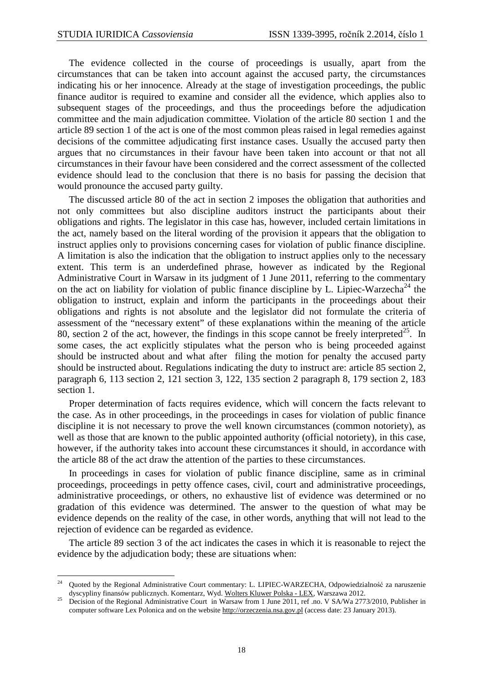$\overline{a}$ 

 The evidence collected in the course of proceedings is usually, apart from the circumstances that can be taken into account against the accused party, the circumstances indicating his or her innocence. Already at the stage of investigation proceedings, the public finance auditor is required to examine and consider all the evidence, which applies also to subsequent stages of the proceedings, and thus the proceedings before the adjudication committee and the main adjudication committee. Violation of the article 80 section 1 and the article 89 section 1 of the act is one of the most common pleas raised in legal remedies against decisions of the committee adjudicating first instance cases. Usually the accused party then argues that no circumstances in their favour have been taken into account or that not all circumstances in their favour have been considered and the correct assessment of the collected evidence should lead to the conclusion that there is no basis for passing the decision that would pronounce the accused party guilty.

 The discussed article 80 of the act in section 2 imposes the obligation that authorities and not only committees but also discipline auditors instruct the participants about their obligations and rights. The legislator in this case has, however, included certain limitations in the act, namely based on the literal wording of the provision it appears that the obligation to instruct applies only to provisions concerning cases for violation of public finance discipline. A limitation is also the indication that the obligation to instruct applies only to the necessary extent. This term is an underdefined phrase, however as indicated by the Regional Administrative Court in Warsaw in its judgment of 1 June 2011, referring to the commentary on the act on liability for violation of public finance discipline by L. Lipiec-Warzecha<sup>24</sup> the obligation to instruct, explain and inform the participants in the proceedings about their obligations and rights is not absolute and the legislator did not formulate the criteria of assessment of the "necessary extent" of these explanations within the meaning of the article 80, section 2 of the act, however, the findings in this scope cannot be freely interpreted<sup>25</sup>. In some cases, the act explicitly stipulates what the person who is being proceeded against should be instructed about and what after filing the motion for penalty the accused party should be instructed about. Regulations indicating the duty to instruct are: article 85 section 2, paragraph 6, 113 section 2, 121 section 3, 122, 135 section 2 paragraph 8, 179 section 2, 183 section 1.

 Proper determination of facts requires evidence, which will concern the facts relevant to the case. As in other proceedings, in the proceedings in cases for violation of public finance discipline it is not necessary to prove the well known circumstances (common notoriety), as well as those that are known to the public appointed authority (official notoriety), in this case, however, if the authority takes into account these circumstances it should, in accordance with the article 88 of the act draw the attention of the parties to these circumstances.

 In proceedings in cases for violation of public finance discipline, same as in criminal proceedings, proceedings in petty offence cases, civil, court and administrative proceedings, administrative proceedings, or others, no exhaustive list of evidence was determined or no gradation of this evidence was determined. The answer to the question of what may be evidence depends on the reality of the case, in other words, anything that will not lead to the rejection of evidence can be regarded as evidence.

 The article 89 section 3 of the act indicates the cases in which it is reasonable to reject the evidence by the adjudication body; these are situations when:

<sup>24</sup> Quoted by the Regional Administrative Court commentary: L. LIPIEC-WARZECHA, Odpowiedzialność za naruszenie dyscypliny finansów publicznych. Komentarz, Wyd. Wolters Kluwer Polska - LEX, Warszawa 2012.

<sup>25</sup> Decision of the Regional Administrative Court in Warsaw from 1 June 2011, ref .no. V SA/Wa 2773/2010, Publisher in computer software Lex Polonica and on the website http://orzeczenia.nsa.gov.pl (access date: 23 January 2013).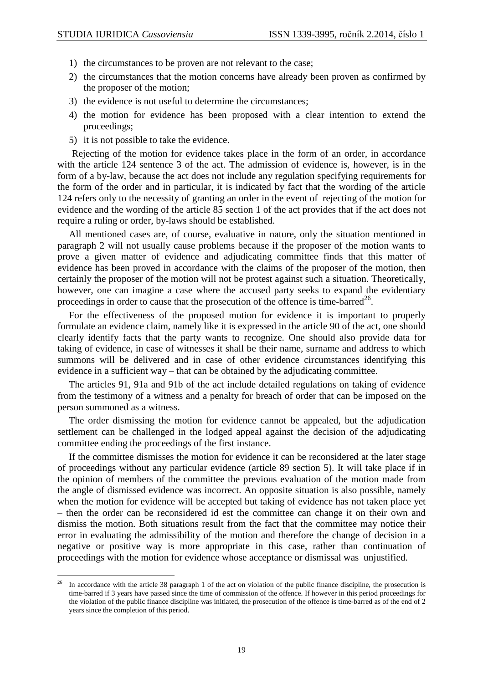$\overline{a}$ 

- 1) the circumstances to be proven are not relevant to the case;
- 2) the circumstances that the motion concerns have already been proven as confirmed by the proposer of the motion;
- 3) the evidence is not useful to determine the circumstances;
- 4) the motion for evidence has been proposed with a clear intention to extend the proceedings;
- 5) it is not possible to take the evidence.

 Rejecting of the motion for evidence takes place in the form of an order, in accordance with the article 124 sentence 3 of the act. The admission of evidence is, however, is in the form of a by-law, because the act does not include any regulation specifying requirements for the form of the order and in particular, it is indicated by fact that the wording of the article 124 refers only to the necessity of granting an order in the event of rejecting of the motion for evidence and the wording of the article 85 section 1 of the act provides that if the act does not require a ruling or order, by-laws should be established.

 All mentioned cases are, of course, evaluative in nature, only the situation mentioned in paragraph 2 will not usually cause problems because if the proposer of the motion wants to prove a given matter of evidence and adjudicating committee finds that this matter of evidence has been proved in accordance with the claims of the proposer of the motion, then certainly the proposer of the motion will not be protest against such a situation. Theoretically, however, one can imagine a case where the accused party seeks to expand the evidentiary proceedings in order to cause that the prosecution of the offence is time-barred<sup>26</sup>.

 For the effectiveness of the proposed motion for evidence it is important to properly formulate an evidence claim, namely like it is expressed in the article 90 of the act, one should clearly identify facts that the party wants to recognize. One should also provide data for taking of evidence, in case of witnesses it shall be their name, surname and address to which summons will be delivered and in case of other evidence circumstances identifying this evidence in a sufficient way – that can be obtained by the adjudicating committee.

 The articles 91, 91a and 91b of the act include detailed regulations on taking of evidence from the testimony of a witness and a penalty for breach of order that can be imposed on the person summoned as a witness.

 The order dismissing the motion for evidence cannot be appealed, but the adjudication settlement can be challenged in the lodged appeal against the decision of the adjudicating committee ending the proceedings of the first instance.

 If the committee dismisses the motion for evidence it can be reconsidered at the later stage of proceedings without any particular evidence (article 89 section 5). It will take place if in the opinion of members of the committee the previous evaluation of the motion made from the angle of dismissed evidence was incorrect. An opposite situation is also possible, namely when the motion for evidence will be accepted but taking of evidence has not taken place yet – then the order can be reconsidered id est the committee can change it on their own and dismiss the motion. Both situations result from the fact that the committee may notice their error in evaluating the admissibility of the motion and therefore the change of decision in a negative or positive way is more appropriate in this case, rather than continuation of proceedings with the motion for evidence whose acceptance or dismissal was unjustified.

<sup>26</sup> In accordance with the article 38 paragraph 1 of the act on violation of the public finance discipline, the prosecution is time-barred if 3 years have passed since the time of commission of the offence. If however in this period proceedings for the violation of the public finance discipline was initiated, the prosecution of the offence is time-barred as of the end of 2 years since the completion of this period.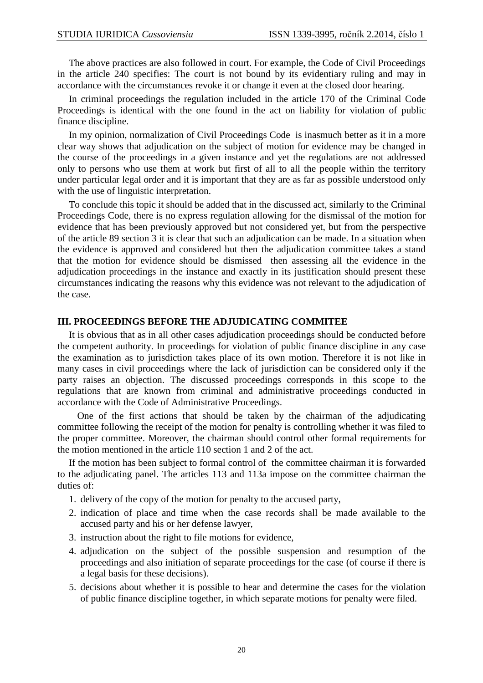The above practices are also followed in court. For example, the Code of Civil Proceedings in the article 240 specifies: The court is not bound by its evidentiary ruling and may in accordance with the circumstances revoke it or change it even at the closed door hearing.

 In criminal proceedings the regulation included in the article 170 of the Criminal Code Proceedings is identical with the one found in the act on liability for violation of public finance discipline.

 In my opinion, normalization of Civil Proceedings Code is inasmuch better as it in a more clear way shows that adjudication on the subject of motion for evidence may be changed in the course of the proceedings in a given instance and yet the regulations are not addressed only to persons who use them at work but first of all to all the people within the territory under particular legal order and it is important that they are as far as possible understood only with the use of linguistic interpretation.

 To conclude this topic it should be added that in the discussed act, similarly to the Criminal Proceedings Code, there is no express regulation allowing for the dismissal of the motion for evidence that has been previously approved but not considered yet, but from the perspective of the article 89 section 3 it is clear that such an adjudication can be made. In a situation when the evidence is approved and considered but then the adjudication committee takes a stand that the motion for evidence should be dismissed then assessing all the evidence in the adjudication proceedings in the instance and exactly in its justification should present these circumstances indicating the reasons why this evidence was not relevant to the adjudication of the case.

#### **III. PROCEEDINGS BEFORE THE ADJUDICATING COMMITEE**

 It is obvious that as in all other cases adjudication proceedings should be conducted before the competent authority. In proceedings for violation of public finance discipline in any case the examination as to jurisdiction takes place of its own motion. Therefore it is not like in many cases in civil proceedings where the lack of jurisdiction can be considered only if the party raises an objection. The discussed proceedings corresponds in this scope to the regulations that are known from criminal and administrative proceedings conducted in accordance with the Code of Administrative Proceedings.

 One of the first actions that should be taken by the chairman of the adjudicating committee following the receipt of the motion for penalty is controlling whether it was filed to the proper committee. Moreover, the chairman should control other formal requirements for the motion mentioned in the article 110 section 1 and 2 of the act.

 If the motion has been subject to formal control of the committee chairman it is forwarded to the adjudicating panel. The articles 113 and 113a impose on the committee chairman the duties of:

- 1. delivery of the copy of the motion for penalty to the accused party,
- 2. indication of place and time when the case records shall be made available to the accused party and his or her defense lawyer,
- 3. instruction about the right to file motions for evidence,
- 4. adjudication on the subject of the possible suspension and resumption of the proceedings and also initiation of separate proceedings for the case (of course if there is a legal basis for these decisions).
- 5. decisions about whether it is possible to hear and determine the cases for the violation of public finance discipline together, in which separate motions for penalty were filed.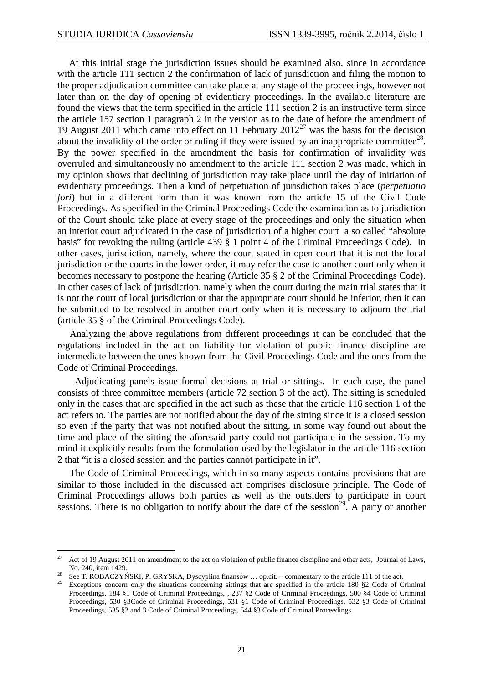$\overline{a}$ 

 At this initial stage the jurisdiction issues should be examined also, since in accordance with the article 111 section 2 the confirmation of lack of jurisdiction and filing the motion to the proper adjudication committee can take place at any stage of the proceedings, however not later than on the day of opening of evidentiary proceedings. In the available literature are found the views that the term specified in the article 111 section 2 is an instructive term since the article 157 section 1 paragraph 2 in the version as to the date of before the amendment of 19 August 2011 which came into effect on 11 February  $2012^{27}$  was the basis for the decision about the invalidity of the order or ruling if they were issued by an inappropriate committee<sup>28</sup>. By the power specified in the amendment the basis for confirmation of invalidity was overruled and simultaneously no amendment to the article 111 section 2 was made, which in my opinion shows that declining of jurisdiction may take place until the day of initiation of evidentiary proceedings. Then a kind of perpetuation of jurisdiction takes place (*perpetuatio fori*) but in a different form than it was known from the article 15 of the Civil Code Proceedings. As specified in the Criminal Proceedings Code the examination as to jurisdiction of the Court should take place at every stage of the proceedings and only the situation when an interior court adjudicated in the case of jurisdiction of a higher court a so called "absolute basis" for revoking the ruling (article 439 § 1 point 4 of the Criminal Proceedings Code). In other cases, jurisdiction, namely, where the court stated in open court that it is not the local jurisdiction or the courts in the lower order, it may refer the case to another court only when it becomes necessary to postpone the hearing (Article 35 § 2 of the Criminal Proceedings Code). In other cases of lack of jurisdiction, namely when the court during the main trial states that it is not the court of local jurisdiction or that the appropriate court should be inferior, then it can be submitted to be resolved in another court only when it is necessary to adjourn the trial (article 35 § of the Criminal Proceedings Code).

 Analyzing the above regulations from different proceedings it can be concluded that the regulations included in the act on liability for violation of public finance discipline are intermediate between the ones known from the Civil Proceedings Code and the ones from the Code of Criminal Proceedings.

Adjudicating panels issue formal decisions at trial or sittings. In each case, the panel consists of three committee members (article 72 section 3 of the act). The sitting is scheduled only in the cases that are specified in the act such as these that the article 116 section 1 of the act refers to. The parties are not notified about the day of the sitting since it is a closed session so even if the party that was not notified about the sitting, in some way found out about the time and place of the sitting the aforesaid party could not participate in the session. To my mind it explicitly results from the formulation used by the legislator in the article 116 section 2 that "it is a closed session and the parties cannot participate in it".

 The Code of Criminal Proceedings, which in so many aspects contains provisions that are similar to those included in the discussed act comprises disclosure principle. The Code of Criminal Proceedings allows both parties as well as the outsiders to participate in court sessions. There is no obligation to notify about the date of the session<sup>29</sup>. A party or another

<sup>27</sup> Act of 19 August 2011 on amendment to the act on violation of public finance discipline and other acts, Journal of Laws, No. 240, item 1429.

<sup>28</sup> See T. ROBACZYŃSKI, P. GRYSKA, Dyscyplina finansów … op.cit. – commentary to the article 111 of the act.

<sup>29</sup> Exceptions concern only the situations concerning sittings that are specified in the article 180 §2 Code of Criminal Proceedings, 184 §1 Code of Criminal Proceedings, , 237 §2 Code of Criminal Proceedings, 500 §4 Code of Criminal Proceedings, 530 §3Code of Criminal Proceedings, 531 §1 Code of Criminal Proceedings, 532 §3 Code of Criminal Proceedings, 535 §2 and 3 Code of Criminal Proceedings, 544 §3 Code of Criminal Proceedings.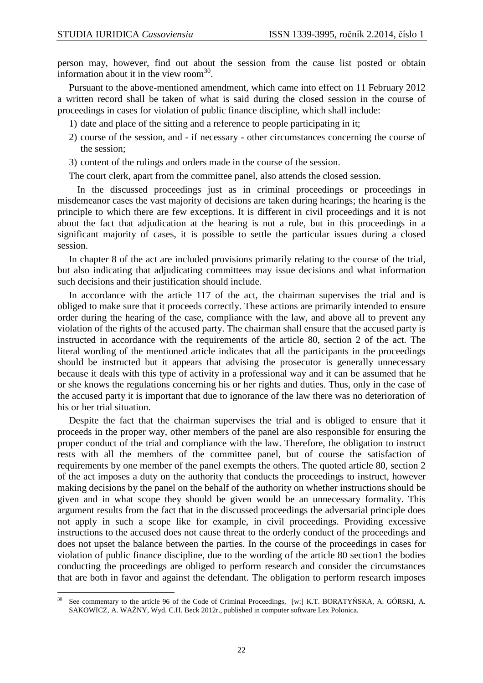person may, however, find out about the session from the cause list posted or obtain information about it in the view room<sup>30</sup>.

 Pursuant to the above-mentioned amendment, which came into effect on 11 February 2012 a written record shall be taken of what is said during the closed session in the course of proceedings in cases for violation of public finance discipline, which shall include:

- 1) date and place of the sitting and a reference to people participating in it;
- 2) course of the session, and if necessary other circumstances concerning the course of the session;
- 3) content of the rulings and orders made in the course of the session.

The court clerk, apart from the committee panel, also attends the closed session.

 In the discussed proceedings just as in criminal proceedings or proceedings in misdemeanor cases the vast majority of decisions are taken during hearings; the hearing is the principle to which there are few exceptions. It is different in civil proceedings and it is not about the fact that adjudication at the hearing is not a rule, but in this proceedings in a significant majority of cases, it is possible to settle the particular issues during a closed session.

 In chapter 8 of the act are included provisions primarily relating to the course of the trial, but also indicating that adjudicating committees may issue decisions and what information such decisions and their justification should include.

 In accordance with the article 117 of the act, the chairman supervises the trial and is obliged to make sure that it proceeds correctly. These actions are primarily intended to ensure order during the hearing of the case, compliance with the law, and above all to prevent any violation of the rights of the accused party. The chairman shall ensure that the accused party is instructed in accordance with the requirements of the article 80, section 2 of the act. The literal wording of the mentioned article indicates that all the participants in the proceedings should be instructed but it appears that advising the prosecutor is generally unnecessary because it deals with this type of activity in a professional way and it can be assumed that he or she knows the regulations concerning his or her rights and duties. Thus, only in the case of the accused party it is important that due to ignorance of the law there was no deterioration of his or her trial situation.

 Despite the fact that the chairman supervises the trial and is obliged to ensure that it proceeds in the proper way, other members of the panel are also responsible for ensuring the proper conduct of the trial and compliance with the law. Therefore, the obligation to instruct rests with all the members of the committee panel, but of course the satisfaction of requirements by one member of the panel exempts the others. The quoted article 80, section 2 of the act imposes a duty on the authority that conducts the proceedings to instruct, however making decisions by the panel on the behalf of the authority on whether instructions should be given and in what scope they should be given would be an unnecessary formality. This argument results from the fact that in the discussed proceedings the adversarial principle does not apply in such a scope like for example, in civil proceedings. Providing excessive instructions to the accused does not cause threat to the orderly conduct of the proceedings and does not upset the balance between the parties. In the course of the proceedings in cases for violation of public finance discipline, due to the wording of the article 80 section1 the bodies conducting the proceedings are obliged to perform research and consider the circumstances that are both in favor and against the defendant. The obligation to perform research imposes

 $\overline{a}$ See commentary to the article 96 of the Code of Criminal Proceedings, [w:] K.T. BORATYŃSKA, A. GÓRSKI, A. SAKOWICZ, A. WAŻNY, Wyd. C.H. Beck 2012r., published in computer software Lex Polonica.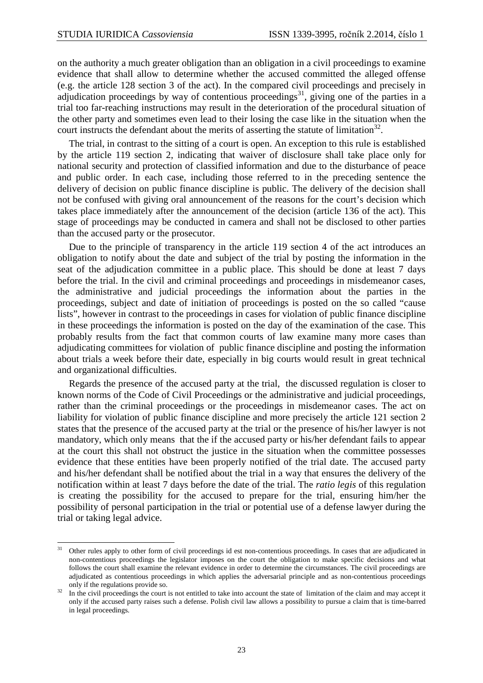$\overline{a}$ 

on the authority a much greater obligation than an obligation in a civil proceedings to examine evidence that shall allow to determine whether the accused committed the alleged offense (e.g. the article 128 section 3 of the act). In the compared civil proceedings and precisely in adjudication proceedings by way of contentious proceedings<sup>31</sup>, giving one of the parties in a trial too far-reaching instructions may result in the deterioration of the procedural situation of the other party and sometimes even lead to their losing the case like in the situation when the court instructs the defendant about the merits of asserting the statute of limitation<sup>32</sup>.

 The trial, in contrast to the sitting of a court is open. An exception to this rule is established by the article 119 section 2, indicating that waiver of disclosure shall take place only for national security and protection of classified information and due to the disturbance of peace and public order. In each case, including those referred to in the preceding sentence the delivery of decision on public finance discipline is public. The delivery of the decision shall not be confused with giving oral announcement of the reasons for the court's decision which takes place immediately after the announcement of the decision (article 136 of the act). This stage of proceedings may be conducted in camera and shall not be disclosed to other parties than the accused party or the prosecutor.

 Due to the principle of transparency in the article 119 section 4 of the act introduces an obligation to notify about the date and subject of the trial by posting the information in the seat of the adjudication committee in a public place. This should be done at least 7 days before the trial. In the civil and criminal proceedings and proceedings in misdemeanor cases, the administrative and judicial proceedings the information about the parties in the proceedings, subject and date of initiation of proceedings is posted on the so called "cause lists", however in contrast to the proceedings in cases for violation of public finance discipline in these proceedings the information is posted on the day of the examination of the case. This probably results from the fact that common courts of law examine many more cases than adjudicating committees for violation of public finance discipline and posting the information about trials a week before their date, especially in big courts would result in great technical and organizational difficulties.

 Regards the presence of the accused party at the trial, the discussed regulation is closer to known norms of the Code of Civil Proceedings or the administrative and judicial proceedings, rather than the criminal proceedings or the proceedings in misdemeanor cases. The act on liability for violation of public finance discipline and more precisely the article 121 section 2 states that the presence of the accused party at the trial or the presence of his/her lawyer is not mandatory, which only means that the if the accused party or his/her defendant fails to appear at the court this shall not obstruct the justice in the situation when the committee possesses evidence that these entities have been properly notified of the trial date. The accused party and his/her defendant shall be notified about the trial in a way that ensures the delivery of the notification within at least 7 days before the date of the trial. The *ratio legis* of this regulation is creating the possibility for the accused to prepare for the trial, ensuring him/her the possibility of personal participation in the trial or potential use of a defense lawyer during the trial or taking legal advice.

<sup>31</sup> Other rules apply to other form of civil proceedings id est non-contentious proceedings. In cases that are adjudicated in non-contentious proceedings the legislator imposes on the court the obligation to make specific decisions and what follows the court shall examine the relevant evidence in order to determine the circumstances. The civil proceedings are adjudicated as contentious proceedings in which applies the adversarial principle and as non-contentious proceedings only if the regulations provide so.

<sup>&</sup>lt;sup>32</sup> In the civil proceedings the court is not entitled to take into account the state of limitation of the claim and may accept it only if the accused party raises such a defense. Polish civil law allows a possibility to pursue a claim that is time-barred in legal proceedings.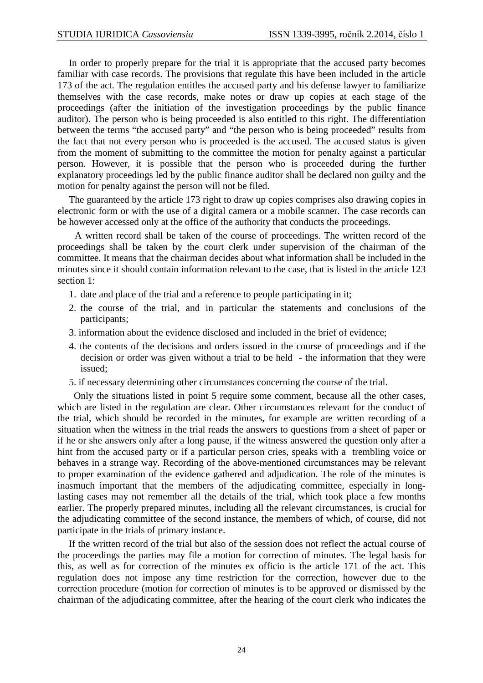In order to properly prepare for the trial it is appropriate that the accused party becomes familiar with case records. The provisions that regulate this have been included in the article 173 of the act. The regulation entitles the accused party and his defense lawyer to familiarize themselves with the case records, make notes or draw up copies at each stage of the proceedings (after the initiation of the investigation proceedings by the public finance auditor). The person who is being proceeded is also entitled to this right. The differentiation between the terms "the accused party" and "the person who is being proceeded" results from the fact that not every person who is proceeded is the accused. The accused status is given from the moment of submitting to the committee the motion for penalty against a particular person. However, it is possible that the person who is proceeded during the further explanatory proceedings led by the public finance auditor shall be declared non guilty and the motion for penalty against the person will not be filed.

 The guaranteed by the article 173 right to draw up copies comprises also drawing copies in electronic form or with the use of a digital camera or a mobile scanner. The case records can be however accessed only at the office of the authority that conducts the proceedings.

A written record shall be taken of the course of proceedings. The written record of the proceedings shall be taken by the court clerk under supervision of the chairman of the committee. It means that the chairman decides about what information shall be included in the minutes since it should contain information relevant to the case, that is listed in the article 123 section 1:

- 1. date and place of the trial and a reference to people participating in it;
- 2. the course of the trial, and in particular the statements and conclusions of the participants;
- 3. information about the evidence disclosed and included in the brief of evidence;
- 4. the contents of the decisions and orders issued in the course of proceedings and if the decision or order was given without a trial to be held - the information that they were issued;
- 5. if necessary determining other circumstances concerning the course of the trial.

 Only the situations listed in point 5 require some comment, because all the other cases, which are listed in the regulation are clear. Other circumstances relevant for the conduct of the trial, which should be recorded in the minutes, for example are written recording of a situation when the witness in the trial reads the answers to questions from a sheet of paper or if he or she answers only after a long pause, if the witness answered the question only after a hint from the accused party or if a particular person cries, speaks with a trembling voice or behaves in a strange way. Recording of the above-mentioned circumstances may be relevant to proper examination of the evidence gathered and adjudication. The role of the minutes is inasmuch important that the members of the adjudicating committee, especially in longlasting cases may not remember all the details of the trial, which took place a few months earlier. The properly prepared minutes, including all the relevant circumstances, is crucial for the adjudicating committee of the second instance, the members of which, of course, did not participate in the trials of primary instance.

 If the written record of the trial but also of the session does not reflect the actual course of the proceedings the parties may file a motion for correction of minutes. The legal basis for this, as well as for correction of the minutes ex officio is the article 171 of the act. This regulation does not impose any time restriction for the correction, however due to the correction procedure (motion for correction of minutes is to be approved or dismissed by the chairman of the adjudicating committee, after the hearing of the court clerk who indicates the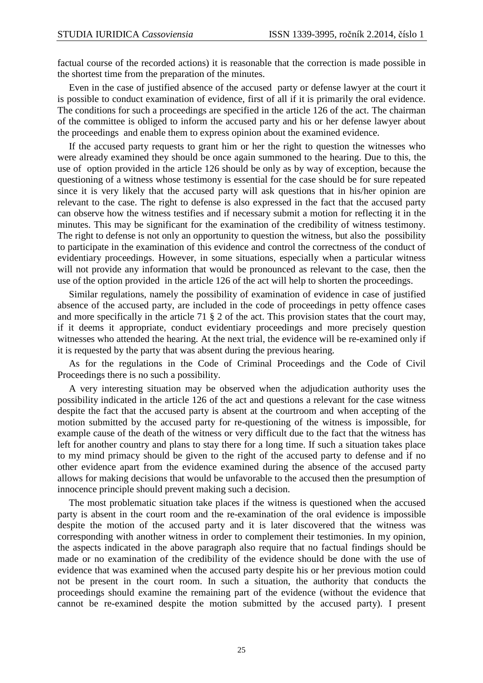factual course of the recorded actions) it is reasonable that the correction is made possible in the shortest time from the preparation of the minutes.

 Even in the case of justified absence of the accused party or defense lawyer at the court it is possible to conduct examination of evidence, first of all if it is primarily the oral evidence. The conditions for such a proceedings are specified in the article 126 of the act. The chairman of the committee is obliged to inform the accused party and his or her defense lawyer about the proceedings and enable them to express opinion about the examined evidence.

 If the accused party requests to grant him or her the right to question the witnesses who were already examined they should be once again summoned to the hearing. Due to this, the use of option provided in the article 126 should be only as by way of exception, because the questioning of a witness whose testimony is essential for the case should be for sure repeated since it is very likely that the accused party will ask questions that in his/her opinion are relevant to the case. The right to defense is also expressed in the fact that the accused party can observe how the witness testifies and if necessary submit a motion for reflecting it in the minutes. This may be significant for the examination of the credibility of witness testimony. The right to defense is not only an opportunity to question the witness, but also the possibility to participate in the examination of this evidence and control the correctness of the conduct of evidentiary proceedings. However, in some situations, especially when a particular witness will not provide any information that would be pronounced as relevant to the case, then the use of the option provided in the article 126 of the act will help to shorten the proceedings.

 Similar regulations, namely the possibility of examination of evidence in case of justified absence of the accused party, are included in the code of proceedings in petty offence cases and more specifically in the article 71 § 2 of the act. This provision states that the court may, if it deems it appropriate, conduct evidentiary proceedings and more precisely question witnesses who attended the hearing. At the next trial, the evidence will be re-examined only if it is requested by the party that was absent during the previous hearing.

 As for the regulations in the Code of Criminal Proceedings and the Code of Civil Proceedings there is no such a possibility.

 A very interesting situation may be observed when the adjudication authority uses the possibility indicated in the article 126 of the act and questions a relevant for the case witness despite the fact that the accused party is absent at the courtroom and when accepting of the motion submitted by the accused party for re-questioning of the witness is impossible, for example cause of the death of the witness or very difficult due to the fact that the witness has left for another country and plans to stay there for a long time. If such a situation takes place to my mind primacy should be given to the right of the accused party to defense and if no other evidence apart from the evidence examined during the absence of the accused party allows for making decisions that would be unfavorable to the accused then the presumption of innocence principle should prevent making such a decision.

 The most problematic situation take places if the witness is questioned when the accused party is absent in the court room and the re-examination of the oral evidence is impossible despite the motion of the accused party and it is later discovered that the witness was corresponding with another witness in order to complement their testimonies. In my opinion, the aspects indicated in the above paragraph also require that no factual findings should be made or no examination of the credibility of the evidence should be done with the use of evidence that was examined when the accused party despite his or her previous motion could not be present in the court room. In such a situation, the authority that conducts the proceedings should examine the remaining part of the evidence (without the evidence that cannot be re-examined despite the motion submitted by the accused party). I present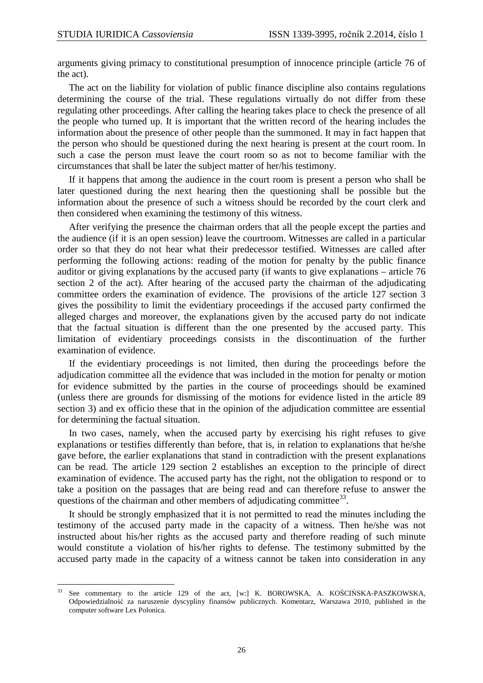arguments giving primacy to constitutional presumption of innocence principle (article 76 of the act).

 The act on the liability for violation of public finance discipline also contains regulations determining the course of the trial. These regulations virtually do not differ from these regulating other proceedings. After calling the hearing takes place to check the presence of all the people who turned up. It is important that the written record of the hearing includes the information about the presence of other people than the summoned. It may in fact happen that the person who should be questioned during the next hearing is present at the court room. In such a case the person must leave the court room so as not to become familiar with the circumstances that shall be later the subject matter of her/his testimony.

 If it happens that among the audience in the court room is present a person who shall be later questioned during the next hearing then the questioning shall be possible but the information about the presence of such a witness should be recorded by the court clerk and then considered when examining the testimony of this witness.

 After verifying the presence the chairman orders that all the people except the parties and the audience (if it is an open session) leave the courtroom. Witnesses are called in a particular order so that they do not hear what their predecessor testified. Witnesses are called after performing the following actions: reading of the motion for penalty by the public finance auditor or giving explanations by the accused party (if wants to give explanations – article 76 section 2 of the act). After hearing of the accused party the chairman of the adjudicating committee orders the examination of evidence. The provisions of the article 127 section 3 gives the possibility to limit the evidentiary proceedings if the accused party confirmed the alleged charges and moreover, the explanations given by the accused party do not indicate that the factual situation is different than the one presented by the accused party. This limitation of evidentiary proceedings consists in the discontinuation of the further examination of evidence.

 If the evidentiary proceedings is not limited, then during the proceedings before the adjudication committee all the evidence that was included in the motion for penalty or motion for evidence submitted by the parties in the course of proceedings should be examined (unless there are grounds for dismissing of the motions for evidence listed in the article 89 section 3) and ex officio these that in the opinion of the adjudication committee are essential for determining the factual situation.

 In two cases, namely, when the accused party by exercising his right refuses to give explanations or testifies differently than before, that is, in relation to explanations that he/she gave before, the earlier explanations that stand in contradiction with the present explanations can be read. The article 129 section 2 establishes an exception to the principle of direct examination of evidence. The accused party has the right, not the obligation to respond or to take a position on the passages that are being read and can therefore refuse to answer the questions of the chairman and other members of adjudicating committee<sup>33</sup>.

 It should be strongly emphasized that it is not permitted to read the minutes including the testimony of the accused party made in the capacity of a witness. Then he/she was not instructed about his/her rights as the accused party and therefore reading of such minute would constitute a violation of his/her rights to defense. The testimony submitted by the accused party made in the capacity of a witness cannot be taken into consideration in any

<sup>33</sup> See commentary to the article 129 of the act, [w:] K. BOROWSKA, A. KOŚCIŃSKA-PASZKOWSKA, Odpowiedzialność za naruszenie dyscypliny finansów publicznych. Komentarz, Warszawa 2010, published in the computer software Lex Polonica.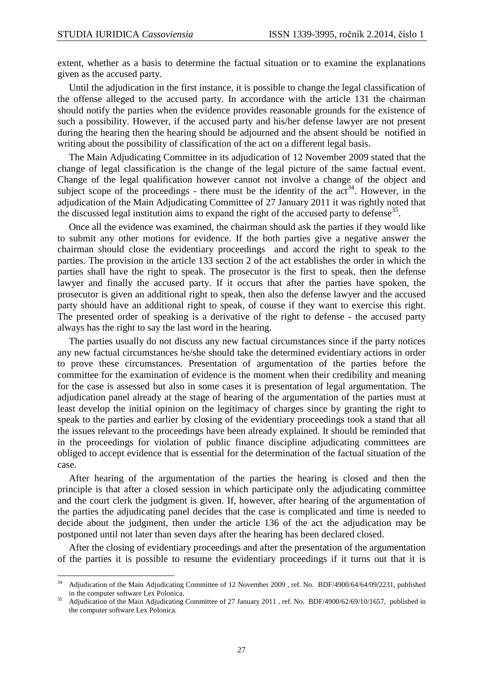extent, whether as a basis to determine the factual situation or to examine the explanations given as the accused party.

 Until the adjudication in the first instance, it is possible to change the legal classification of the offense alleged to the accused party. In accordance with the article 131 the chairman should notify the parties when the evidence provides reasonable grounds for the existence of such a possibility. However, if the accused party and his/her defense lawyer are not present during the hearing then the hearing should be adjourned and the absent should be notified in writing about the possibility of classification of the act on a different legal basis.

 The Main Adjudicating Committee in its adjudication of 12 November 2009 stated that the change of legal classification is the change of the legal picture of the same factual event. Change of the legal qualification however cannot not involve a change of the object and subject scope of the proceedings - there must be the identity of the  $act<sup>34</sup>$ . However, in the adjudication of the Main Adjudicating Committee of 27 January 2011 it was rightly noted that the discussed legal institution aims to expand the right of the accused party to defense<sup>35</sup>.

 Once all the evidence was examined, the chairman should ask the parties if they would like to submit any other motions for evidence. If the both parties give a negative answer the chairman should close the evidentiary proceedings and accord the right to speak to the parties. The provision in the article 133 section 2 of the act establishes the order in which the parties shall have the right to speak. The prosecutor is the first to speak, then the defense lawyer and finally the accused party. If it occurs that after the parties have spoken, the prosecutor is given an additional right to speak, then also the defense lawyer and the accused party should have an additional right to speak, of course if they want to exercise this right. The presented order of speaking is a derivative of the right to defense - the accused party always has the right to say the last word in the hearing.

 The parties usually do not discuss any new factual circumstances since if the party notices any new factual circumstances he/she should take the determined evidentiary actions in order to prove these circumstances. Presentation of argumentation of the parties before the committee for the examination of evidence is the moment when their credibility and meaning for the case is assessed but also in some cases it is presentation of legal argumentation. The adjudication panel already at the stage of hearing of the argumentation of the parties must at least develop the initial opinion on the legitimacy of charges since by granting the right to speak to the parties and earlier by closing of the evidentiary proceedings took a stand that all the issues relevant to the proceedings have been already explained. It should be reminded that in the proceedings for violation of public finance discipline adjudicating committees are obliged to accept evidence that is essential for the determination of the factual situation of the case.

 After hearing of the argumentation of the parties the hearing is closed and then the principle is that after a closed session in which participate only the adjudicating committee and the court clerk the judgment is given. If, however, after hearing of the argumentation of the parties the adjudicating panel decides that the case is complicated and time is needed to decide about the judgment, then under the article 136 of the act the adjudication may be postponed until not later than seven days after the hearing has been declared closed.

 After the closing of evidentiary proceedings and after the presentation of the argumentation of the parties it is possible to resume the evidentiary proceedings if it turns out that it is

 $34$ <sup>34</sup> Adjudication of the Main Adjudicating Committee of 12 November 2009 , ref. No. BDF/4900/64/64/09/2231, published in the computer software Lex Polonica.

<sup>&</sup>lt;sup>35</sup> Adjudication of the Main Adjudicating Committee of 27 January 2011 , ref. No. BDF/4900/62/69/10/1657, published in the computer software Lex Polonica.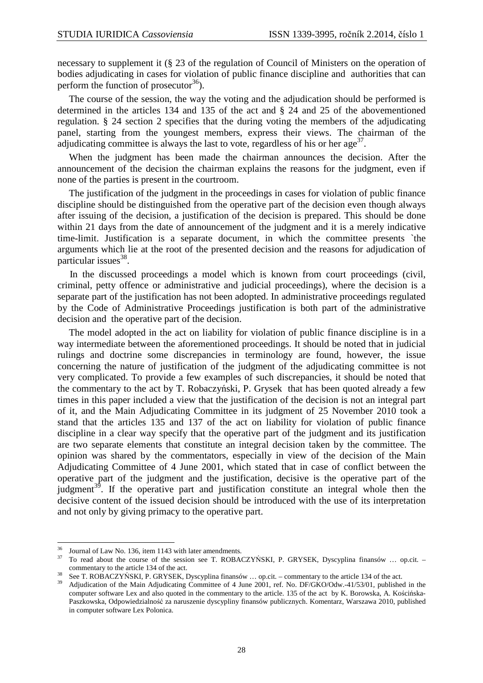necessary to supplement it (§ 23 of the regulation of Council of Ministers on the operation of bodies adjudicating in cases for violation of public finance discipline and authorities that can perform the function of prosecutor<sup>36</sup>).

 The course of the session, the way the voting and the adjudication should be performed is determined in the articles 134 and 135 of the act and § 24 and 25 of the abovementioned regulation. § 24 section 2 specifies that the during voting the members of the adjudicating panel, starting from the youngest members, express their views. The chairman of the adjudicating committee is always the last to vote, regardless of his or her age<sup>37</sup>.

 When the judgment has been made the chairman announces the decision. After the announcement of the decision the chairman explains the reasons for the judgment, even if none of the parties is present in the courtroom.

The justification of the judgment in the proceedings in cases for violation of public finance discipline should be distinguished from the operative part of the decision even though always after issuing of the decision, a justification of the decision is prepared. This should be done within 21 days from the date of announcement of the judgment and it is a merely indicative time-limit. Justification is a separate document, in which the committee presents `the arguments which lie at the root of the presented decision and the reasons for adjudication of particular issues<sup>38</sup>.

 In the discussed proceedings a model which is known from court proceedings (civil, criminal, petty offence or administrative and judicial proceedings), where the decision is a separate part of the justification has not been adopted. In administrative proceedings regulated by the Code of Administrative Proceedings justification is both part of the administrative decision and the operative part of the decision.

 The model adopted in the act on liability for violation of public finance discipline is in a way intermediate between the aforementioned proceedings. It should be noted that in judicial rulings and doctrine some discrepancies in terminology are found, however, the issue concerning the nature of justification of the judgment of the adjudicating committee is not very complicated. To provide a few examples of such discrepancies, it should be noted that the commentary to the act by T. Robaczyński, P. Grysek that has been quoted already a few times in this paper included a view that the justification of the decision is not an integral part of it, and the Main Adjudicating Committee in its judgment of 25 November 2010 took a stand that the articles 135 and 137 of the act on liability for violation of public finance discipline in a clear way specify that the operative part of the judgment and its justification are two separate elements that constitute an integral decision taken by the committee. The opinion was shared by the commentators, especially in view of the decision of the Main Adjudicating Committee of 4 June 2001, which stated that in case of conflict between the operative part of the judgment and the justification, decisive is the operative part of the judgment<sup>39</sup>. If the operative part and justification constitute an integral whole then the decisive content of the issued decision should be introduced with the use of its interpretation and not only by giving primacy to the operative part.

<sup>36</sup> <sup>36</sup> Journal of Law No. 136, item 1143 with later amendments.

<sup>37</sup> To read about the course of the session see T. ROBACZYŃSKI, P. GRYSEK, Dyscyplina finansów … op.cit. – commentary to the article 134 of the act.

<sup>38</sup> See T. ROBACZYŃSKI, P. GRYSEK, Dyscyplina finansów … op.cit. – commentary to the article 134 of the act.

<sup>39</sup> Adjudication of the Main Adjudicating Committee of 4 June 2001, ref. No. DF/GKO/Odw.-41/53/01, published in the computer software Lex and also quoted in the commentary to the article. 135 of the act by K. Borowska, A. Kościńska-Paszkowska, Odpowiedzialność za naruszenie dyscypliny finansów publicznych. Komentarz, Warszawa 2010, published in computer software Lex Polonica.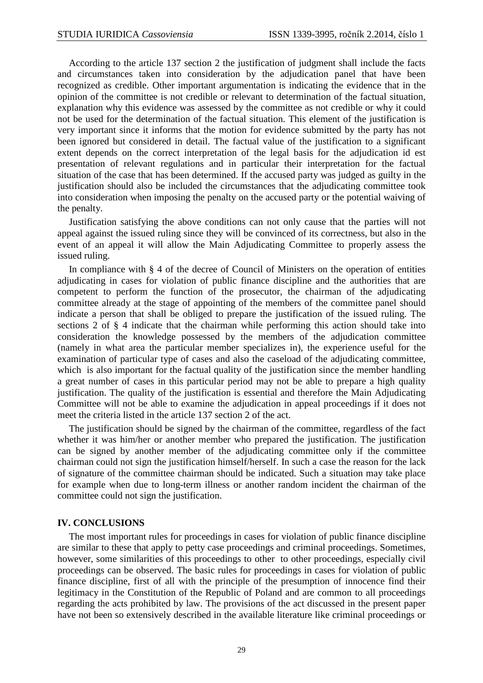According to the article 137 section 2 the justification of judgment shall include the facts and circumstances taken into consideration by the adjudication panel that have been recognized as credible. Other important argumentation is indicating the evidence that in the opinion of the committee is not credible or relevant to determination of the factual situation, explanation why this evidence was assessed by the committee as not credible or why it could not be used for the determination of the factual situation. This element of the justification is very important since it informs that the motion for evidence submitted by the party has not been ignored but considered in detail. The factual value of the justification to a significant extent depends on the correct interpretation of the legal basis for the adjudication id est presentation of relevant regulations and in particular their interpretation for the factual situation of the case that has been determined. If the accused party was judged as guilty in the justification should also be included the circumstances that the adjudicating committee took into consideration when imposing the penalty on the accused party or the potential waiving of the penalty.

 Justification satisfying the above conditions can not only cause that the parties will not appeal against the issued ruling since they will be convinced of its correctness, but also in the event of an appeal it will allow the Main Adjudicating Committee to properly assess the issued ruling.

 In compliance with § 4 of the decree of Council of Ministers on the operation of entities adjudicating in cases for violation of public finance discipline and the authorities that are competent to perform the function of the prosecutor, the chairman of the adjudicating committee already at the stage of appointing of the members of the committee panel should indicate a person that shall be obliged to prepare the justification of the issued ruling. The sections 2 of § 4 indicate that the chairman while performing this action should take into consideration the knowledge possessed by the members of the adjudication committee (namely in what area the particular member specializes in), the experience useful for the examination of particular type of cases and also the caseload of the adjudicating committee, which is also important for the factual quality of the justification since the member handling a great number of cases in this particular period may not be able to prepare a high quality justification. The quality of the justification is essential and therefore the Main Adjudicating Committee will not be able to examine the adjudication in appeal proceedings if it does not meet the criteria listed in the article 137 section 2 of the act.

 The justification should be signed by the chairman of the committee, regardless of the fact whether it was him/her or another member who prepared the justification. The justification can be signed by another member of the adjudicating committee only if the committee chairman could not sign the justification himself/herself. In such a case the reason for the lack of signature of the committee chairman should be indicated. Such a situation may take place for example when due to long-term illness or another random incident the chairman of the committee could not sign the justification.

### **IV. CONCLUSIONS**

 The most important rules for proceedings in cases for violation of public finance discipline are similar to these that apply to petty case proceedings and criminal proceedings. Sometimes, however, some similarities of this proceedings to other to other proceedings, especially civil proceedings can be observed. The basic rules for proceedings in cases for violation of public finance discipline, first of all with the principle of the presumption of innocence find their legitimacy in the Constitution of the Republic of Poland and are common to all proceedings regarding the acts prohibited by law. The provisions of the act discussed in the present paper have not been so extensively described in the available literature like criminal proceedings or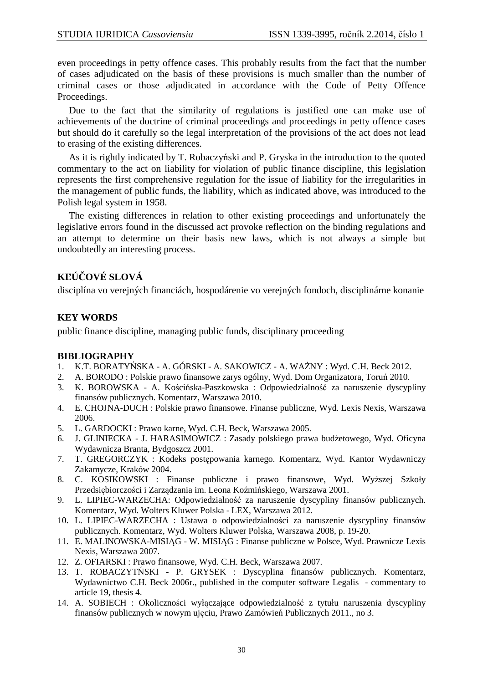even proceedings in petty offence cases. This probably results from the fact that the number of cases adjudicated on the basis of these provisions is much smaller than the number of criminal cases or those adjudicated in accordance with the Code of Petty Offence Proceedings.

 Due to the fact that the similarity of regulations is justified one can make use of achievements of the doctrine of criminal proceedings and proceedings in petty offence cases but should do it carefully so the legal interpretation of the provisions of the act does not lead to erasing of the existing differences.

 As it is rightly indicated by T. Robaczyński and P. Gryska in the introduction to the quoted commentary to the act on liability for violation of public finance discipline, this legislation represents the first comprehensive regulation for the issue of liability for the irregularities in the management of public funds, the liability, which as indicated above, was introduced to the Polish legal system in 1958.

 The existing differences in relation to other existing proceedings and unfortunately the legislative errors found in the discussed act provoke reflection on the binding regulations and an attempt to determine on their basis new laws, which is not always a simple but undoubtedly an interesting process.

# **KĽÚČOVÉ SLOVÁ**

disciplína vo verejných financiách, hospodárenie vo verejných fondoch, disciplinárne konanie

## **KEY WORDS**

public finance discipline, managing public funds, disciplinary proceeding

## **BIBLIOGRAPHY**

- 1. K.T. BORATYŃSKA A. GÓRSKI A. SAKOWICZ A. WAŻNY : Wyd. C.H. Beck 2012.
- 2. A. BORODO : Polskie prawo finansowe zarys ogólny, Wyd. Dom Organizatora, Toruń 2010.<br>3. K. BOROWSKA A. Kościńska-Paszkowska : Odpowiedzialność za naruszenie dyscyp
- 3. K. BOROWSKA A. Kościńska-Paszkowska : Odpowiedzialność za naruszenie dyscypliny finansów publicznych. Komentarz, Warszawa 2010.
- 4. E. CHOJNA-DUCH : Polskie prawo finansowe. Finanse publiczne, Wyd. Lexis Nexis, Warszawa 2006.
- 5. L. GARDOCKI : Prawo karne, Wyd. C.H. Beck, Warszawa 2005.
- 6. J. GLINIECKA J. HARASIMOWICZ : Zasady polskiego prawa budżetowego, Wyd. Oficyna Wydawnicza Branta, Bydgoszcz 2001.
- 7. T. GREGORCZYK : Kodeks postępowania karnego. Komentarz, Wyd. Kantor Wydawniczy Zakamycze, Kraków 2004.
- 8. C. KOSIKOWSKI : Finanse publiczne i prawo finansowe, Wyd. Wyższej Szkoły Przedsiębiorczości i Zarządzania im. Leona Koźmińskiego, Warszawa 2001.
- 9. L. LIPIEC-WARZECHA: Odpowiedzialność za naruszenie dyscypliny finansów publicznych. Komentarz, Wyd. Wolters Kluwer Polska - LEX, Warszawa 2012.
- 10. L. LIPIEC-WARZECHA : Ustawa o odpowiedzialności za naruszenie dyscypliny finansów publicznych. Komentarz, Wyd. Wolters Kluwer Polska, Warszawa 2008, p. 19-20.
- 11. E. MALINOWSKA-MISIĄG W. MISIĄG : Finanse publiczne w Polsce, Wyd. Prawnicze Lexis Nexis, Warszawa 2007.
- 12. Z. OFIARSKI : Prawo finansowe, Wyd. C.H. Beck, Warszawa 2007.
- 13. T. ROBACZYTŃSKI P. GRYSEK : Dyscyplina finansów publicznych. Komentarz, Wydawnictwo C.H. Beck 2006r., published in the computer software Legalis - commentary to article 19, thesis 4.
- 14. A. SOBIECH : Okoliczności wyłączające odpowiedzialność z tytułu naruszenia dyscypliny finansów publicznych w nowym ujęciu, Prawo Zamówień Publicznych 2011., no 3.